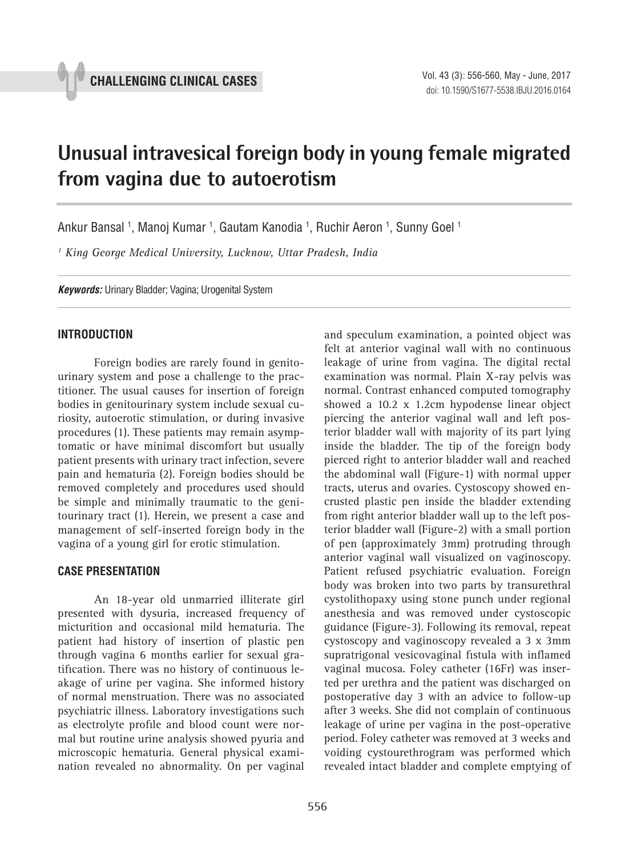# **Unusual intravesical foreign body in young female migrated from vagina due to autoerotism \_\_\_\_\_\_\_\_\_\_\_\_\_\_\_\_\_\_\_\_\_\_\_\_\_\_\_\_\_\_\_\_\_\_\_\_\_\_\_\_\_\_\_\_\_\_\_**

Ankur Bansal <sup>1</sup>, Manoj Kumar <sup>1</sup>, Gautam Kanodia <sup>1</sup>, Ruchir Aeron <sup>1</sup>, Sunny Goel <sup>1</sup>

*1 King George Medical University, Lucknow, Uttar Pradesh, India*

*Keywords:* Urinary Bladder; Vagina; Urogenital System

## **INTRODUCTION**

Foreign bodies are rarely found in genitourinary system and pose a challenge to the practitioner. The usual causes for insertion of foreign bodies in genitourinary system include sexual curiosity, autoerotic stimulation, or during invasive procedures (1). These patients may remain asymptomatic or have minimal discomfort but usually patient presents with urinary tract infection, severe pain and hematuria (2). Foreign bodies should be removed completely and procedures used should be simple and minimally traumatic to the genitourinary tract (1). Herein, we present a case and management of self-inserted foreign body in the vagina of a young girl for erotic stimulation.

### **CASE PRESENTATION**

An 18-year old unmarried illiterate girl presented with dysuria, increased frequency of micturition and occasional mild hematuria. The patient had history of insertion of plastic pen through vagina 6 months earlier for sexual gratification. There was no history of continuous leakage of urine per vagina. She informed history of normal menstruation. There was no associated psychiatric illness. Laboratory investigations such as electrolyte profile and blood count were normal but routine urine analysis showed pyuria and microscopic hematuria. General physical examination revealed no abnormality. On per vaginal

and speculum examination, a pointed object was felt at anterior vaginal wall with no continuous leakage of urine from vagina. The digital rectal examination was normal. Plain X-ray pelvis was normal. Contrast enhanced computed tomography showed a 10.2 x 1.2cm hypodense linear object piercing the anterior vaginal wall and left posterior bladder wall with majority of its part lying inside the bladder. The tip of the foreign body pierced right to anterior bladder wall and reached the abdominal wall (Figure-1) with normal upper tracts, uterus and ovaries. Cystoscopy showed encrusted plastic pen inside the bladder extending from right anterior bladder wall up to the left posterior bladder wall (Figure-2) with a small portion of pen (approximately 3mm) protruding through anterior vaginal wall visualized on vaginoscopy. Patient refused psychiatric evaluation. Foreign body was broken into two parts by transurethral cystolithopaxy using stone punch under regional anesthesia and was removed under cystoscopic guidance (Figure-3). Following its removal, repeat cystoscopy and vaginoscopy revealed a 3 x 3mm supratrigonal vesicovaginal fistula with inflamed vaginal mucosa. Foley catheter (16Fr) was inserted per urethra and the patient was discharged on postoperative day 3 with an advice to follow-up after 3 weeks. She did not complain of continuous leakage of urine per vagina in the post-operative period. Foley catheter was removed at 3 weeks and voiding cystourethrogram was performed which revealed intact bladder and complete emptying of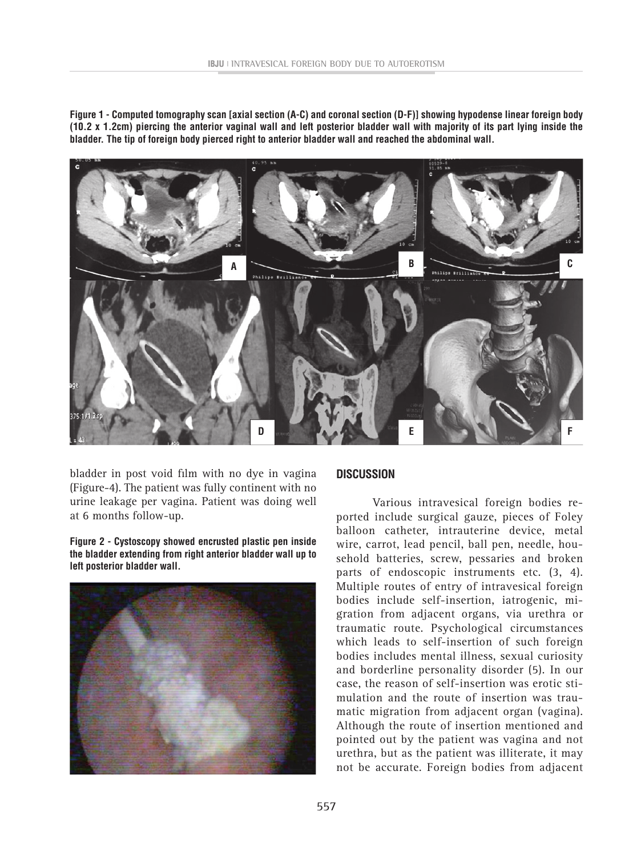**Figure 1 - Computed tomography scan [axial section (A-C) and coronal section (D-F)] showing hypodense linear foreign body (10.2 x 1.2cm) piercing the anterior vaginal wall and left posterior bladder wall with majority of its part lying inside the bladder. The tip of foreign body pierced right to anterior bladder wall and reached the abdominal wall.**



bladder in post void film with no dye in vagina (Figure-4). The patient was fully continent with no urine leakage per vagina. Patient was doing well at 6 months follow-up.

**Figure 2 - Cystoscopy showed encrusted plastic pen inside the bladder extending from right anterior bladder wall up to left posterior bladder wall.**



#### **DISCUSSION**

Various intravesical foreign bodies reported include surgical gauze, pieces of Foley balloon catheter, intrauterine device, metal wire, carrot, lead pencil, ball pen, needle, household batteries, screw, pessaries and broken parts of endoscopic instruments etc. (3, 4). Multiple routes of entry of intravesical foreign bodies include self-insertion, iatrogenic, migration from adjacent organs, via urethra or traumatic route. Psychological circumstances which leads to self-insertion of such foreign bodies includes mental illness, sexual curiosity and borderline personality disorder (5). In our case, the reason of self-insertion was erotic stimulation and the route of insertion was traumatic migration from adjacent organ (vagina). Although the route of insertion mentioned and pointed out by the patient was vagina and not urethra, but as the patient was illiterate, it may not be accurate. Foreign bodies from adjacent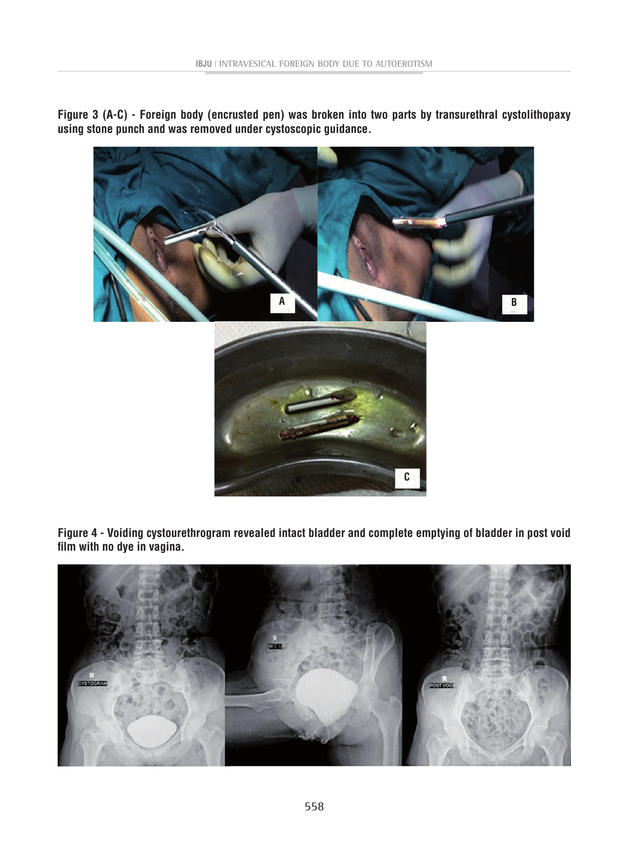**Figure 3 (A-C) - Foreign body (encrusted pen) was broken into two parts by transurethral cystolithopaxy using stone punch and was removed under cystoscopic guidance.**



**Figure 4 - Voiding cystourethrogram revealed intact bladder and complete emptying of bladder in post void film with no dye in vagina.**

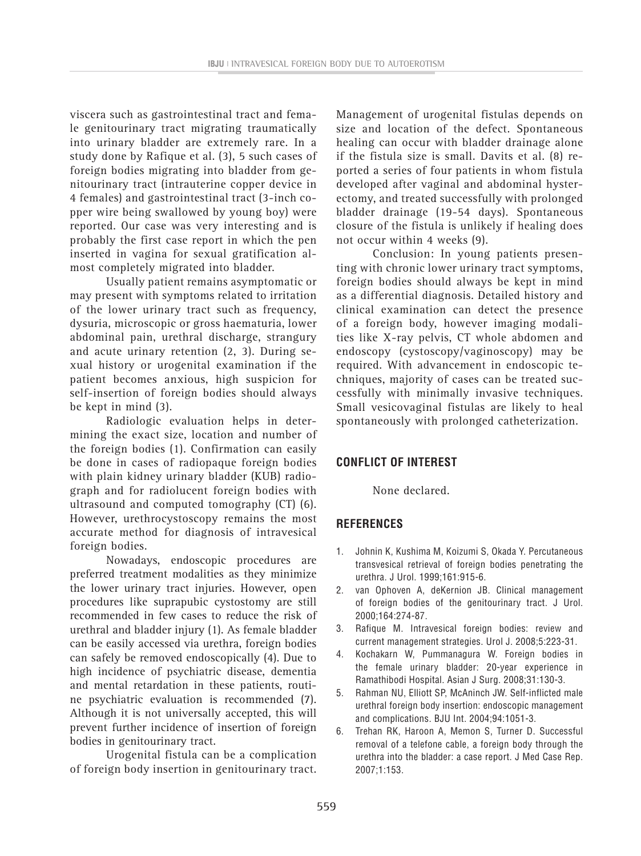viscera such as gastrointestinal tract and female genitourinary tract migrating traumatically into urinary bladder are extremely rare. In a study done by Rafique et al. (3), 5 such cases of foreign bodies migrating into bladder from genitourinary tract (intrauterine copper device in 4 females) and gastrointestinal tract (3-inch copper wire being swallowed by young boy) were reported. Our case was very interesting and is probably the first case report in which the pen inserted in vagina for sexual gratification almost completely migrated into bladder.

Usually patient remains asymptomatic or may present with symptoms related to irritation of the lower urinary tract such as frequency, dysuria, microscopic or gross haematuria, lower abdominal pain, urethral discharge, strangury and acute urinary retention (2, 3). During sexual history or urogenital examination if the patient becomes anxious, high suspicion for self-insertion of foreign bodies should always be kept in mind (3).

Radiologic evaluation helps in determining the exact size, location and number of the foreign bodies (1). Confirmation can easily be done in cases of radiopaque foreign bodies with plain kidney urinary bladder (KUB) radiograph and for radiolucent foreign bodies with ultrasound and computed tomography (CT) (6). However, urethrocystoscopy remains the most accurate method for diagnosis of intravesical foreign bodies.

Nowadays, endoscopic procedures are preferred treatment modalities as they minimize the lower urinary tract injuries. However, open procedures like suprapubic cystostomy are still recommended in few cases to reduce the risk of urethral and bladder injury (1). As female bladder can be easily accessed via urethra, foreign bodies can safely be removed endoscopically (4). Due to high incidence of psychiatric disease, dementia and mental retardation in these patients, routine psychiatric evaluation is recommended (7). Although it is not universally accepted, this will prevent further incidence of insertion of foreign bodies in genitourinary tract.

Urogenital fistula can be a complication of foreign body insertion in genitourinary tract. Management of urogenital fistulas depends on size and location of the defect. Spontaneous healing can occur with bladder drainage alone if the fistula size is small. Davits et al. (8) reported a series of four patients in whom fistula developed after vaginal and abdominal hysterectomy, and treated successfully with prolonged bladder drainage (19-54 days). Spontaneous closure of the fistula is unlikely if healing does not occur within 4 weeks (9).

Conclusion: In young patients presenting with chronic lower urinary tract symptoms, foreign bodies should always be kept in mind as a differential diagnosis. Detailed history and clinical examination can detect the presence of a foreign body, however imaging modalities like X-ray pelvis, CT whole abdomen and endoscopy (cystoscopy/vaginoscopy) may be required. With advancement in endoscopic techniques, majority of cases can be treated successfully with minimally invasive techniques. Small vesicovaginal fistulas are likely to heal spontaneously with prolonged catheterization.

### **CONFLICT OF INTEREST**

None declared.

### **REFERENCES**

- 1. Johnin K, Kushima M, Koizumi S, Okada Y. Percutaneous transvesical retrieval of foreign bodies penetrating the urethra. J Urol. 1999;161:915-6.
- 2. van Ophoven A, deKernion JB. Clinical management of foreign bodies of the genitourinary tract. J Urol. 2000;164:274-87.
- 3. Rafique M. Intravesical foreign bodies: review and current management strategies. Urol J. 2008;5:223-31.
- 4. Kochakarn W, Pummanagura W. Foreign bodies in the female urinary bladder: 20-year experience in Ramathibodi Hospital. Asian J Surg. 2008;31:130-3.
- 5. Rahman NU, Elliott SP, McAninch JW. Self-inflicted male urethral foreign body insertion: endoscopic management and complications. BJU Int. 2004;94:1051-3.
- 6. Trehan RK, Haroon A, Memon S, Turner D. Successful removal of a telefone cable, a foreign body through the urethra into the bladder: a case report. J Med Case Rep. 2007;1:153.